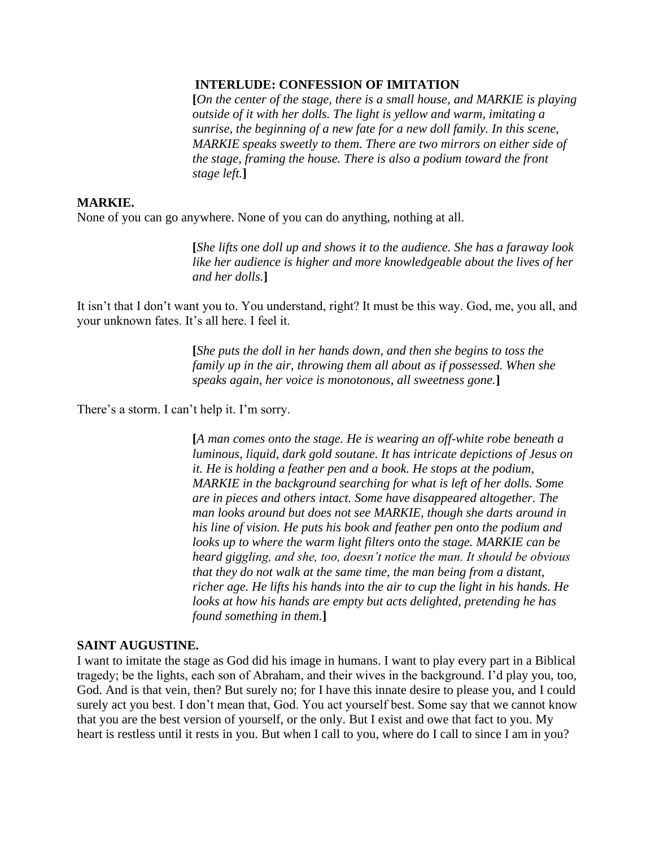## **INTERLUDE: CONFESSION OF IMITATION**

**[***On the center of the stage, there is a small house, and MARKIE is playing outside of it with her dolls. The light is yellow and warm, imitating a sunrise, the beginning of a new fate for a new doll family. In this scene, MARKIE speaks sweetly to them. There are two mirrors on either side of the stage, framing the house. There is also a podium toward the front stage left.***]**

## **MARKIE.**

None of you can go anywhere. None of you can do anything, nothing at all.

**[***She lifts one doll up and shows it to the audience. She has a faraway look like her audience is higher and more knowledgeable about the lives of her and her dolls.***]**

It isn't that I don't want you to. You understand, right? It must be this way. God, me, you all, and your unknown fates. It's all here. I feel it.

> **[***She puts the doll in her hands down, and then she begins to toss the family up in the air, throwing them all about as if possessed. When she speaks again, her voice is monotonous, all sweetness gone.***]**

There's a storm. I can't help it. I'm sorry.

**[***A man comes onto the stage. He is wearing an off-white robe beneath a luminous, liquid, dark gold soutane. It has intricate depictions of Jesus on it. He is holding a feather pen and a book. He stops at the podium, MARKIE in the background searching for what is left of her dolls. Some are in pieces and others intact. Some have disappeared altogether. The man looks around but does not see MARKIE, though she darts around in his line of vision. He puts his book and feather pen onto the podium and looks up to where the warm light filters onto the stage. MARKIE can be heard giggling, and she, too, doesn't notice the man. It should be obvious that they do not walk at the same time, the man being from a distant, richer age. He lifts his hands into the air to cup the light in his hands. He looks at how his hands are empty but acts delighted, pretending he has found something in them.***]**

## **SAINT AUGUSTINE.**

I want to imitate the stage as God did his image in humans. I want to play every part in a Biblical tragedy; be the lights, each son of Abraham, and their wives in the background. I'd play you, too, God. And is that vein, then? But surely no; for I have this innate desire to please you, and I could surely act you best. I don't mean that, God. You act yourself best. Some say that we cannot know that you are the best version of yourself, or the only. But I exist and owe that fact to you. My heart is restless until it rests in you. But when I call to you, where do I call to since I am in you?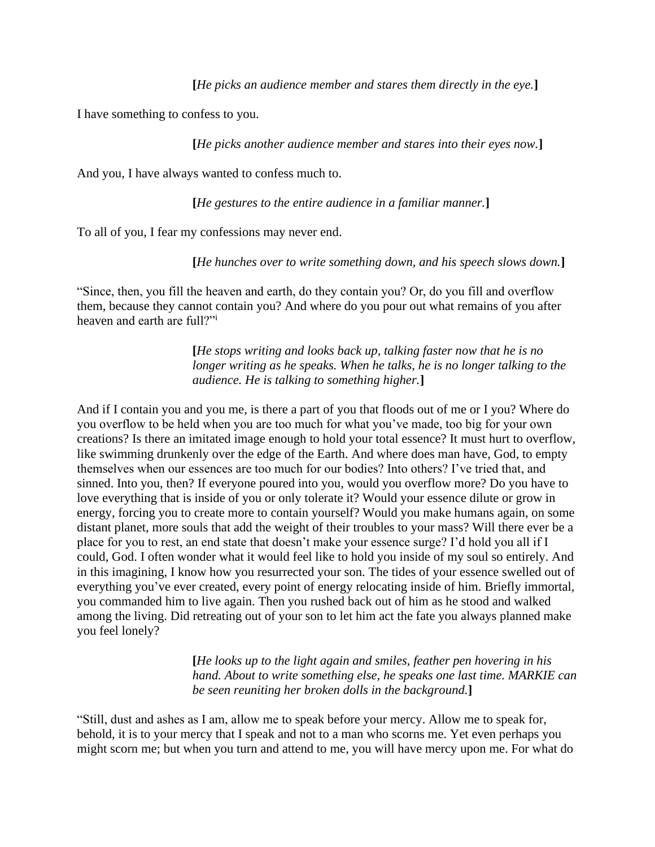I have something to confess to you.

**[***He picks another audience member and stares into their eyes now.***]**

And you, I have always wanted to confess much to.

**[***He gestures to the entire audience in a familiar manner.***]**

To all of you, I fear my confessions may never end.

**[***He hunches over to write something down, and his speech slows down.***]**

"Since, then, you fill the heaven and earth, do they contain you? Or, do you fill and overflow them, because they cannot contain you? And where do you pour out what remains of you after heaven and earth are full?"

> **[***He stops writing and looks back up, talking faster now that he is no longer writing as he speaks. When he talks, he is no longer talking to the audience. He is talking to something higher.***]**

And if I contain you and you me, is there a part of you that floods out of me or I you? Where do you overflow to be held when you are too much for what you've made, too big for your own creations? Is there an imitated image enough to hold your total essence? It must hurt to overflow, like swimming drunkenly over the edge of the Earth. And where does man have, God, to empty themselves when our essences are too much for our bodies? Into others? I've tried that, and sinned. Into you, then? If everyone poured into you, would you overflow more? Do you have to love everything that is inside of you or only tolerate it? Would your essence dilute or grow in energy, forcing you to create more to contain yourself? Would you make humans again, on some distant planet, more souls that add the weight of their troubles to your mass? Will there ever be a place for you to rest, an end state that doesn't make your essence surge? I'd hold you all if I could, God. I often wonder what it would feel like to hold you inside of my soul so entirely. And in this imagining, I know how you resurrected your son. The tides of your essence swelled out of everything you've ever created, every point of energy relocating inside of him. Briefly immortal, you commanded him to live again. Then you rushed back out of him as he stood and walked among the living. Did retreating out of your son to let him act the fate you always planned make you feel lonely?

> **[***He looks up to the light again and smiles, feather pen hovering in his hand. About to write something else, he speaks one last time. MARKIE can be seen reuniting her broken dolls in the background.***]**

"Still, dust and ashes as I am, allow me to speak before your mercy. Allow me to speak for, behold, it is to your mercy that I speak and not to a man who scorns me. Yet even perhaps you might scorn me; but when you turn and attend to me, you will have mercy upon me. For what do